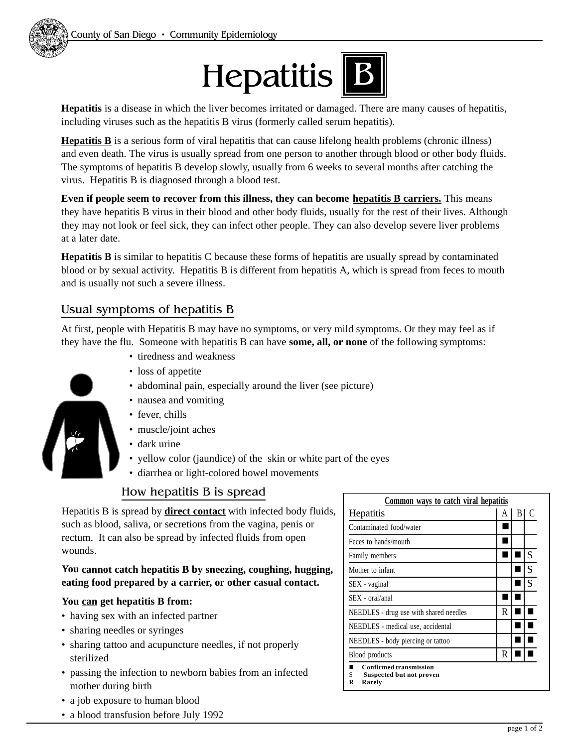

**Hepatitis** is a disease in which the liver becomes irritated or damaged. There are many causes of hepatitis, including viruses such as the hepatitis B virus (formerly called serum hepatitis).

**Hepatitis B** is a serious form of viral hepatitis that can cause lifelong health problems (chronic illness) and even death. The virus is usually spread from one person to another through blood or other body fluids. The symptoms of hepatitis B develop slowly, usually from 6 weeks to several months after catching the virus. Hepatitis B is diagnosed through a blood test.

**Even if people seem to recover from this illness, they can become hepatitis B carriers.** This means they have hepatitis B virus in their blood and other body fluids, usually for the rest of their lives. Although they may not look or feel sick, they can infect other people. They can also develop severe liver problems at a later date.

**Hepatitis B** is similar to hepatitis C because these forms of hepatitis are usually spread by contaminated blood or by sexual activity. Hepatitis B is different from hepatitis A, which is spread from feces to mouth and is usually not such a severe illness.

## Usual symptoms of hepatitis B

At first, people with Hepatitis B may have no symptoms, or very mild symptoms. Or they may feel as if they have the flu. Someone with hepatitis B can have **some, all, or none** of the following symptoms:

- tiredness and weakness
- loss of appetite
- abdominal pain, especially around the liver (see picture)
- nausea and vomiting
- fever, chills
- muscle/joint aches
- dark urine
- yellow color (jaundice) of the skin or white part of the eyes
- diarrhea or light-colored bowel movements

## How hepatitis B is spread

Hepatitis B is spread by **direct contact** with infected body fluids, such as blood, saliva, or secretions from the vagina, penis or rectum. It can also be spread by infected fluids from open wounds.

#### **You cannot catch hepatitis B by sneezing, coughing, hugging, eating food prepared by a carrier, or other casual contact.**

### **You can get hepatitis B from:**

- having sex with an infected partner
- sharing needles or syringes
- sharing tattoo and acupuncture needles, if not properly sterilized
- passing the infection to newborn babies from an infected mother during birth
- a job exposure to human blood
- a blood transfusion before July 1992

| Common ways to catch viral hepatitis                                          |   |   |   |
|-------------------------------------------------------------------------------|---|---|---|
| Hepatitis                                                                     | А | В | C |
| Contaminated food/water                                                       |   |   |   |
| Feces to hands/mouth                                                          |   |   |   |
| Family members                                                                |   |   | S |
| Mother to infant                                                              |   |   | S |
| SEX - vaginal                                                                 |   |   | S |
| SEX - oral/anal                                                               |   |   |   |
| NEEDLES - drug use with shared needles                                        | R |   |   |
| NEEDLES - medical use, accidental                                             |   |   |   |
| NEEDLES - body piercing or tattoo                                             |   |   |   |
| Blood products                                                                | R |   |   |
| <b>Confirmed transmission</b><br>S<br>Suspected but not proven<br>R<br>Rarely |   |   |   |